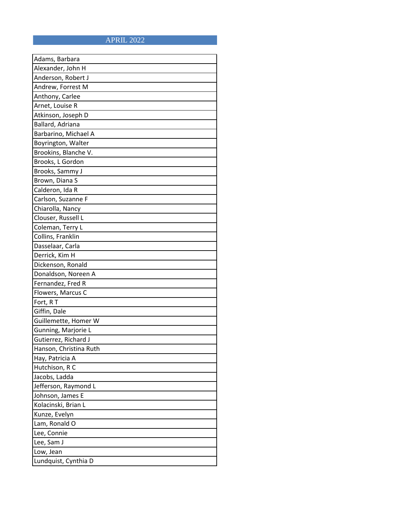## APRIL 2022

| Adams, Barbara         |
|------------------------|
| Alexander, John H      |
| Anderson, Robert J     |
| Andrew, Forrest M      |
| Anthony, Carlee        |
| Arnet, Louise R        |
| Atkinson, Joseph D     |
| Ballard, Adriana       |
| Barbarino, Michael A   |
| Boyrington, Walter     |
| Brookins, Blanche V.   |
| Brooks, L Gordon       |
| Brooks, Sammy J        |
| Brown, Diana S         |
| Calderon, Ida R        |
| Carlson, Suzanne F     |
| Chiarolla, Nancy       |
| Clouser, Russell L     |
| Coleman, Terry L       |
| Collins, Franklin      |
| Dasselaar, Carla       |
| Derrick, Kim H         |
| Dickenson, Ronald      |
| Donaldson, Noreen A    |
| Fernandez, Fred R      |
| Flowers, Marcus C      |
| Fort, RT               |
| Giffin, Dale           |
| Guillemette, Homer W   |
| Gunning, Marjorie L    |
| Gutierrez, Richard J   |
| Hanson, Christina Ruth |
| Hay, Patricia A        |
| Hutchison, R C         |
| Jacobs, Ladda          |
| Jefferson, Raymond L   |
| Johnson, James E       |
| Kolacinski, Brian L    |
| Kunze, Evelyn          |
| Lam, Ronald O          |
| Lee, Connie            |
| Lee, Sam J             |
| Low, Jean              |
| Lundquist, Cynthia D   |